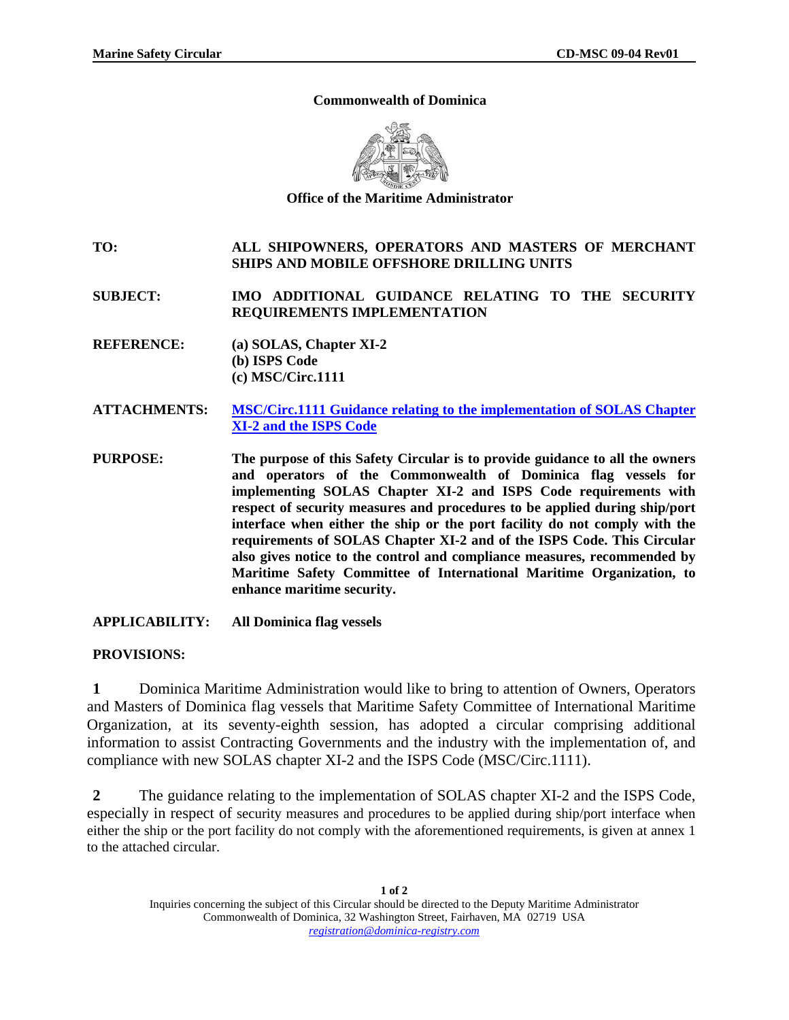## **Commonwealth of Dominica**



**Office of the Maritime Administrator** 

## **TO: ALL SHIPOWNERS, OPERATORS AND MASTERS OF MERCHANT SHIPS AND MOBILE OFFSHORE DRILLING UNITS**

**SUBJECT: IMO ADDITIONAL GUIDANCE RELATING TO THE SECURITY REQUIREMENTS IMPLEMENTATION** 

- **REFERENCE: (a) SOLAS, Chapter XI-2 (b) ISPS Code (c) MSC/Circ.1111**
- **ATTACHMENTS: [MSC/Circ.1111 Guidance relating to the implementation of SOLAS Chapter](http://www.imo.org/includes/blastDataOnly.asp/data_id%3D9381/1111.pdf)  [XI-2 and the ISPS Code](http://www.imo.org/includes/blastDataOnly.asp/data_id%3D9381/1111.pdf)**
- **PURPOSE: The purpose of this Safety Circular is to provide guidance to all the owners and operators of the Commonwealth of Dominica flag vessels for implementing SOLAS Chapter XI-2 and ISPS Code requirements with respect of security measures and procedures to be applied during ship/port interface when either the ship or the port facility do not comply with the requirements of SOLAS Chapter XI-2 and of the ISPS Code. This Circular also gives notice to the control and compliance measures, recommended by Maritime Safety Committee of International Maritime Organization, to enhance maritime security.**
- **APPLICABILITY: All Dominica flag vessels**

## **PROVISIONS:**

**1** Dominica Maritime Administration would like to bring to attention of Owners, Operators and Masters of Dominica flag vessels that Maritime Safety Committee of International Maritime Organization, at its seventy-eighth session, has adopted a circular comprising additional information to assist Contracting Governments and the industry with the implementation of, and compliance with new SOLAS chapter XI-2 and the ISPS Code (MSC/Circ.1111).

**2** The guidance relating to the implementation of SOLAS chapter XI-2 and the ISPS Code, especially in respect of security measures and procedures to be applied during ship/port interface when either the ship or the port facility do not comply with the aforementioned requirements, is given at annex 1 to the attached circular.